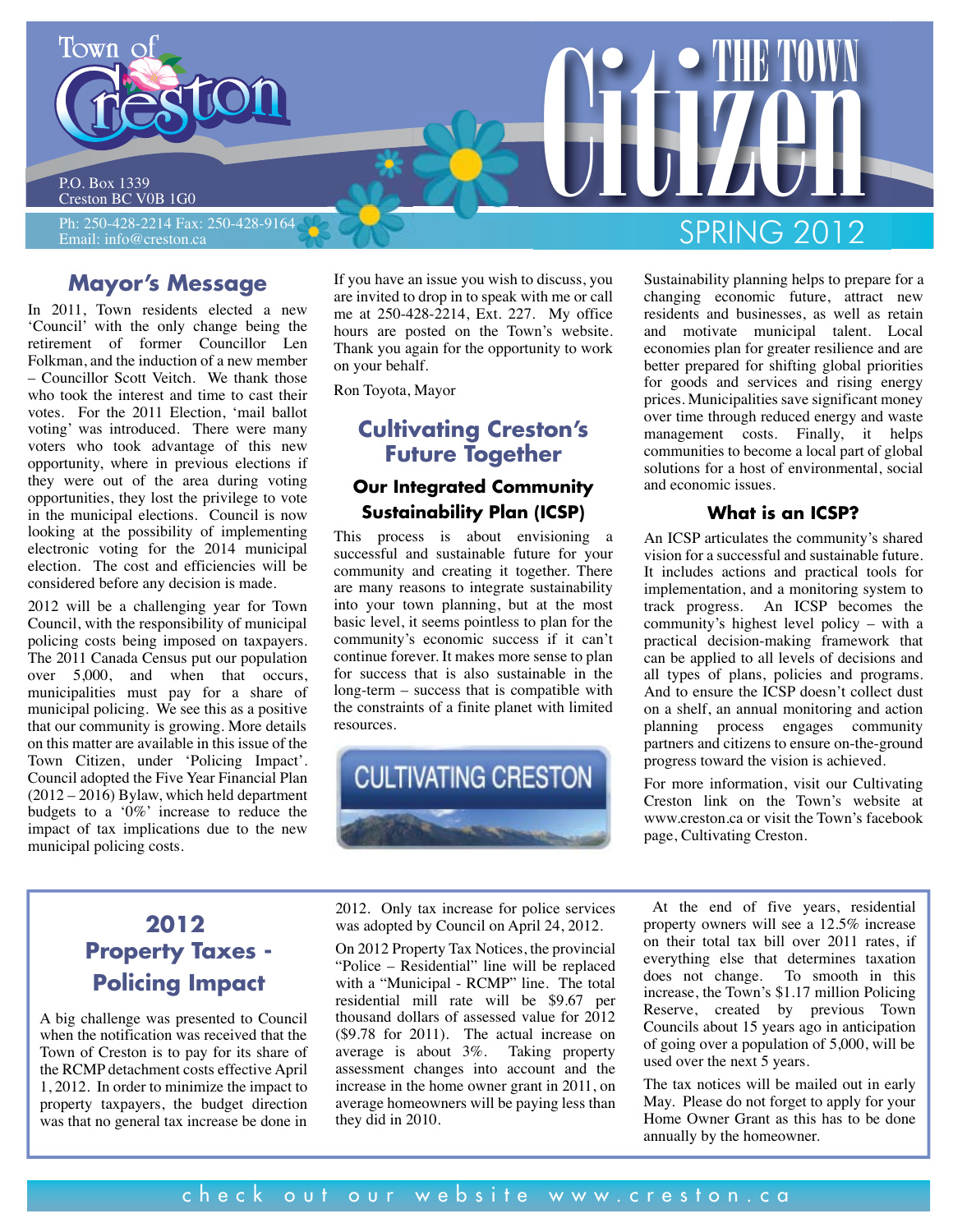

P.O. Box 1339 Creston BC V0B 1G0

Ph: 250-428-2214 Fax: 250-428-9164 Email: info@creston.ca

# **Mayor's Message**

In 2011, Town residents elected a new 'Council' with the only change being the retirement of former Councillor Len Folkman, and the induction of a new member – Councillor Scott Veitch. We thank those who took the interest and time to cast their votes. For the 2011 Election, 'mail ballot voting' was introduced. There were many voters who took advantage of this new opportunity, where in previous elections if they were out of the area during voting opportunities, they lost the privilege to vote in the municipal elections. Council is now looking at the possibility of implementing electronic voting for the 2014 municipal election. The cost and efficiencies will be considered before any decision is made.

2012 will be a challenging year for Town Council, with the responsibility of municipal policing costs being imposed on taxpayers. The 2011 Canada Census put our population over 5,000, and when that occurs, municipalities must pay for a share of municipal policing. We see this as a positive that our community is growing. More details on this matter are available in this issue of the Town Citizen, under 'Policing Impact'. Council adopted the Five Year Financial Plan (2012 – 2016) Bylaw, which held department budgets to a '0%' increase to reduce the impact of tax implications due to the new municipal policing costs.

If you have an issue you wish to discuss, you are invited to drop in to speak with me or call me at 250-428-2214, Ext. 227. My office hours are posted on the Town's website. Thank you again for the opportunity to work on your behalf.

Ron Toyota, Mayor

# **Cultivating Creston's Future Together**

# **Our Integrated Community Sustainability Plan (ICSP)**

This process is about envisioning a successful and sustainable future for your community and creating it together. There are many reasons to integrate sustainability into your town planning, but at the most basic level, it seems pointless to plan for the community's economic success if it can't continue forever. It makes more sense to plan for success that is also sustainable in the long-term – success that is compatible with the constraints of a finite planet with limited resources.



City County Of THE TOWN SPRING 2012

> Sustainability planning helps to prepare for a changing economic future, attract new residents and businesses, as well as retain and motivate municipal talent. Local economies plan for greater resilience and are better prepared for shifting global priorities for goods and services and rising energy prices. Municipalities save significant money over time through reduced energy and waste management costs. Finally, it helps communities to become a local part of global solutions for a host of environmental, social and economic issues.

### **What is an ICSP?**

An ICSP articulates the community's shared vision for a successful and sustainable future. It includes actions and practical tools for implementation, and a monitoring system to track progress. An ICSP becomes the community's highest level policy – with a practical decision-making framework that can be applied to all levels of decisions and all types of plans, policies and programs. And to ensure the ICSP doesn't collect dust on a shelf, an annual monitoring and action planning process engages community partners and citizens to ensure on-the-ground progress toward the vision is achieved.

For more information, visit our Cultivating Creston link on the Town's website at www.creston.ca or visit the Town's facebook page, Cultivating Creston.

# **2012 Property Taxes - Policing Impact**

A big challenge was presented to Council when the notification was received that the Town of Creston is to pay for its share of the RCMP detachment costs effective April 1, 2012. In order to minimize the impact to property taxpayers, the budget direction was that no general tax increase be done in

2012. Only tax increase for police services was adopted by Council on April 24, 2012.

On 2012 Property Tax Notices, the provincial "Police – Residential" line will be replaced with a "Municipal - RCMP" line. The total residential mill rate will be \$9.67 per thousand dollars of assessed value for 2012 (\$9.78 for 2011). The actual increase on average is about 3%. Taking property assessment changes into account and the increase in the home owner grant in 2011, on average homeowners will be paying less than they did in 2010.

At the end of five years, residential property owners will see a 12.5% increase on their total tax bill over 2011 rates, if everything else that determines taxation does not change. To smooth in this increase, the Town's \$1.17 million Policing Reserve, created by previous Town Councils about 15 years ago in anticipation of going over a population of 5,000, will be used over the next 5 years.

The tax notices will be mailed out in early May. Please do not forget to apply for your Home Owner Grant as this has to be done annually by the homeowner.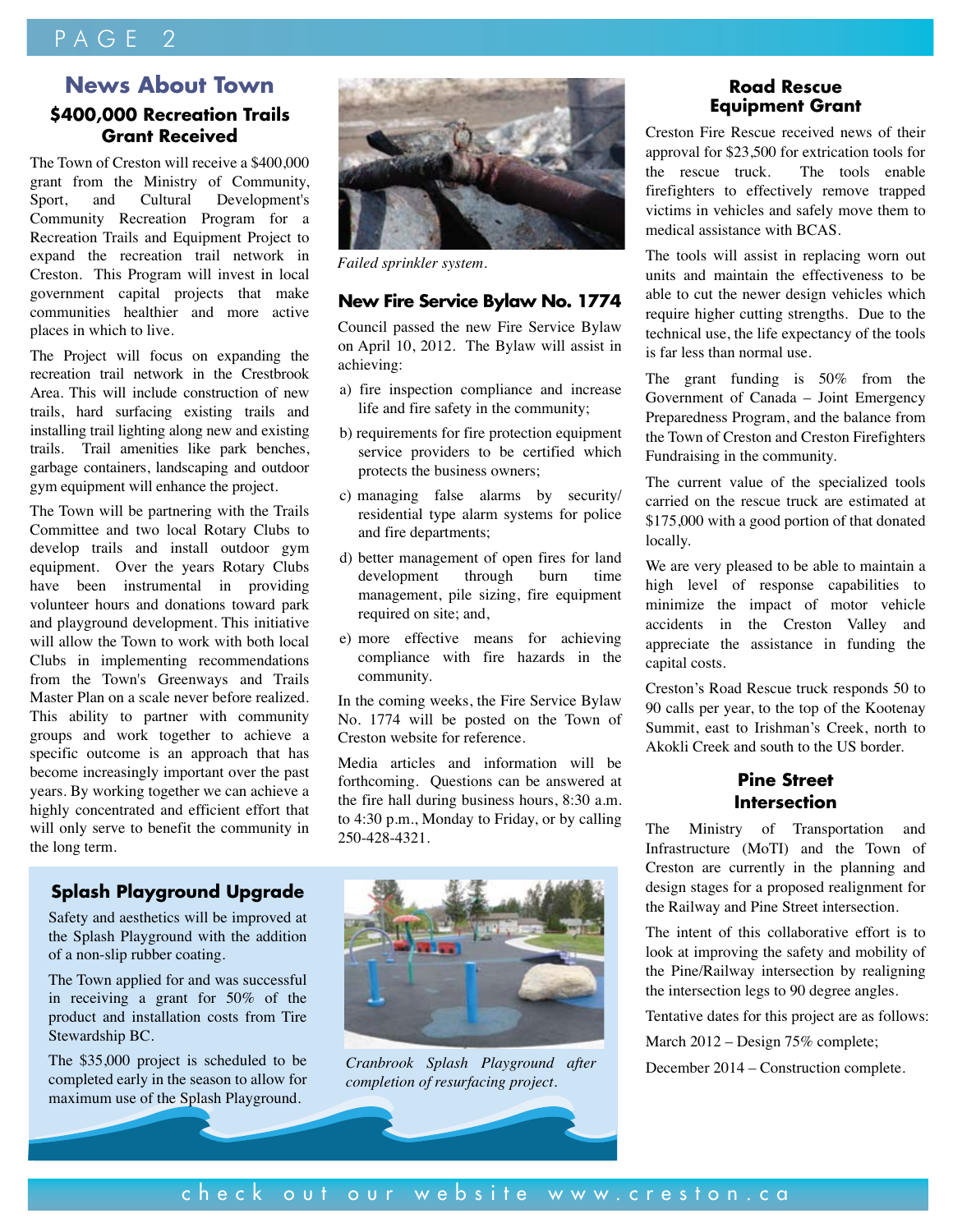# PAGE<sub>2</sub>

# **News About Town \$400,000 Recreation Trails Grant Received**

The Town of Creston will receive a \$400,000 grant from the Ministry of Community, Sport, and Cultural Development's Community Recreation Program for a Recreation Trails and Equipment Project to expand the recreation trail network in Creston. This Program will invest in local government capital projects that make communities healthier and more active places in which to live.

The Project will focus on expanding the recreation trail network in the Crestbrook Area. This will include construction of new trails, hard surfacing existing trails and installing trail lighting along new and existing trails. Trail amenities like park benches, garbage containers, landscaping and outdoor gym equipment will enhance the project.

The Town will be partnering with the Trails Committee and two local Rotary Clubs to develop trails and install outdoor gym equipment. Over the years Rotary Clubs have been instrumental in providing volunteer hours and donations toward park and playground development. This initiative will allow the Town to work with both local Clubs in implementing recommendations from the Town's Greenways and Trails Master Plan on a scale never before realized. This ability to partner with community groups and work together to achieve a specific outcome is an approach that has become increasingly important over the past years. By working together we can achieve a highly concentrated and efficient effort that will only serve to benefit the community in the long term.



*Failed sprinkler system.*

#### **New Fire Service Bylaw No. 1774**

Council passed the new Fire Service Bylaw on April 10, 2012. The Bylaw will assist in achieving:

- a) fire inspection compliance and increase life and fire safety in the community;
- b) requirements for fire protection equipment service providers to be certified which protects the business owners;
- c) managing false alarms by security/ residential type alarm systems for police and fire departments;
- d) better management of open fires for land development through burn time management, pile sizing, fire equipment required on site; and,
- e) more effective means for achieving compliance with fire hazards in the community.

In the coming weeks, the Fire Service Bylaw No. 1774 will be posted on the Town of Creston website for reference.

Media articles and information will be forthcoming. Questions can be answered at the fire hall during business hours, 8:30 a.m. to 4:30 p.m., Monday to Friday, or by calling 250-428-4321.

### **Splash Playground Upgrade**

Safety and aesthetics will be improved at the Splash Playground with the addition of a non-slip rubber coating.

The Town applied for and was successful in receiving a grant for 50% of the product and installation costs from Tire Stewardship BC.

The \$35,000 project is scheduled to be completed early in the season to allow for maximum use of the Splash Playground.



*Cranbrook Splash Playground after* **December 2014 – Construction complete.** *completion of resurfacing project.*

### **Road Rescue Equipment Grant**

Creston Fire Rescue received news of their approval for \$23,500 for extrication tools for the rescue truck. The tools enable firefighters to effectively remove trapped victims in vehicles and safely move them to medical assistance with BCAS.

The tools will assist in replacing worn out units and maintain the effectiveness to be able to cut the newer design vehicles which require higher cutting strengths. Due to the technical use, the life expectancy of the tools is far less than normal use.

The grant funding is 50% from the Government of Canada – Joint Emergency Preparedness Program, and the balance from the Town of Creston and Creston Firefighters Fundraising in the community.

The current value of the specialized tools carried on the rescue truck are estimated at \$175,000 with a good portion of that donated locally.

We are very pleased to be able to maintain a high level of response capabilities to minimize the impact of motor vehicle accidents in the Creston Valley and appreciate the assistance in funding the capital costs.

Creston's Road Rescue truck responds 50 to 90 calls per year, to the top of the Kootenay Summit, east to Irishman's Creek, north to Akokli Creek and south to the US border.

## **Pine Street Intersection**

The Ministry of Transportation and Infrastructure (MoTI) and the Town of Creston are currently in the planning and design stages for a proposed realignment for the Railway and Pine Street intersection.

The intent of this collaborative effort is to look at improving the safety and mobility of the Pine/Railway intersection by realigning the intersection legs to 90 degree angles.

Tentative dates for this project are as follows:

March 2012 – Design 75% complete;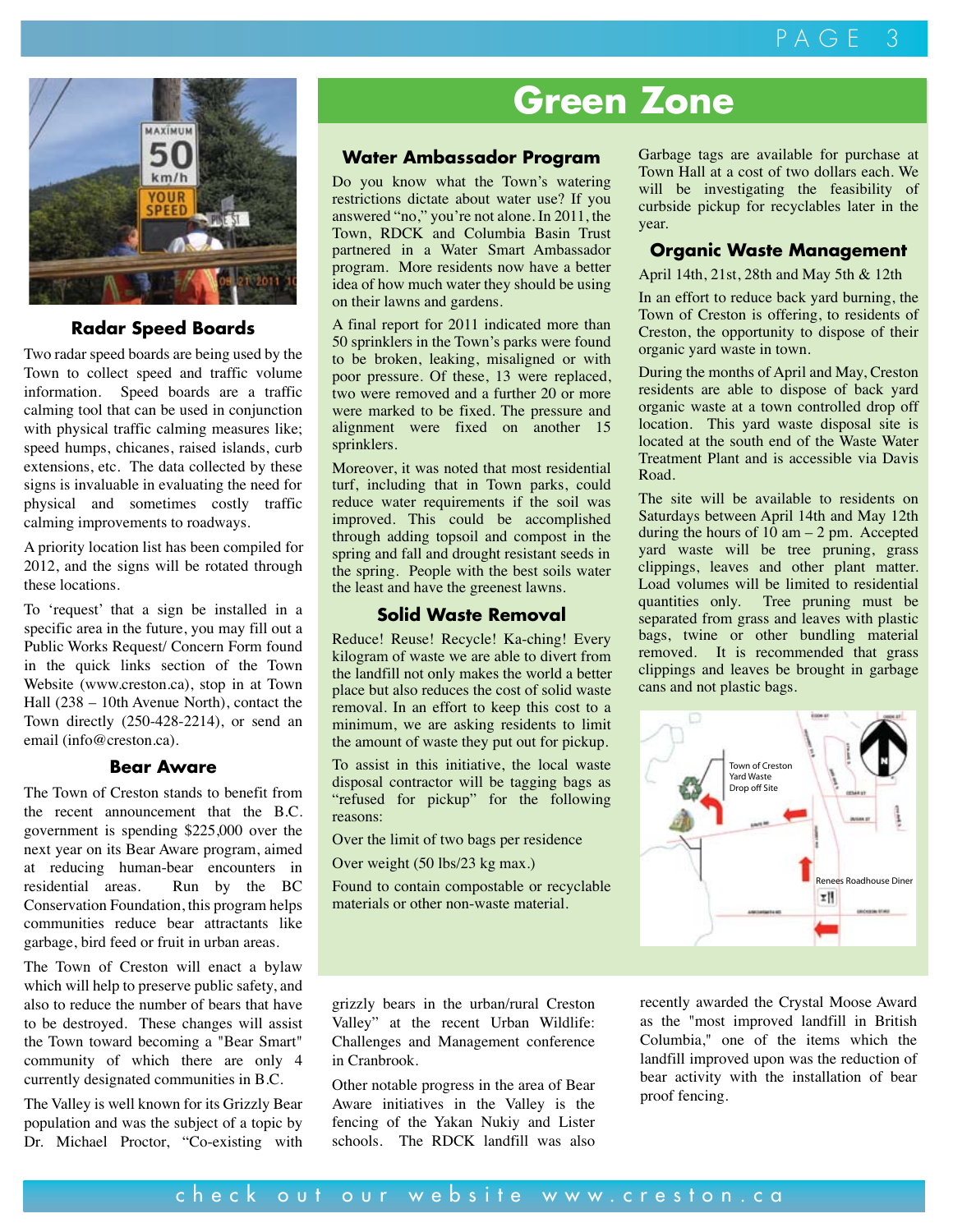

### **Radar Speed Boards**

Two radar speed boards are being used by the Town to collect speed and traffic volume information. Speed boards are a traffic calming tool that can be used in conjunction with physical traffic calming measures like; speed humps, chicanes, raised islands, curb extensions, etc. The data collected by these signs is invaluable in evaluating the need for physical and sometimes costly traffic calming improvements to roadways.

A priority location list has been compiled for 2012, and the signs will be rotated through these locations.

To 'request' that a sign be installed in a specific area in the future, you may fill out a Public Works Request/ Concern Form found in the quick links section of the Town Website (www.creston.ca), stop in at Town Hall (238 – 10th Avenue North), contact the Town directly (250-428-2214), or send an email (info@creston.ca).

#### **Bear Aware**

The Town of Creston stands to benefit from the recent announcement that the B.C. government is spending \$225,000 over the next year on its Bear Aware program, aimed at reducing human-bear encounters in residential areas. Run by the BC Conservation Foundation, this program helps communities reduce bear attractants like garbage, bird feed or fruit in urban areas.

The Town of Creston will enact a bylaw which will help to preserve public safety, and also to reduce the number of bears that have to be destroyed. These changes will assist the Town toward becoming a "Bear Smart" community of which there are only 4 currently designated communities in B.C.

The Valley is well known for its Grizzly Bear population and was the subject of a topic by Dr. Michael Proctor, "Co-existing with

# **Green Zone**

## **Water Ambassador Program**

Do you know what the Town's watering restrictions dictate about water use? If you answered "no," you're not alone. In 2011, the Town, RDCK and Columbia Basin Trust partnered in a Water Smart Ambassador program. More residents now have a better idea of how much water they should be using on their lawns and gardens.

A final report for 2011 indicated more than 50 sprinklers in the Town's parks were found to be broken, leaking, misaligned or with poor pressure. Of these, 13 were replaced, two were removed and a further 20 or more were marked to be fixed. The pressure and alignment were fixed on another 15 sprinklers.

Moreover, it was noted that most residential turf, including that in Town parks, could reduce water requirements if the soil was improved. This could be accomplished through adding topsoil and compost in the spring and fall and drought resistant seeds in the spring. People with the best soils water the least and have the greenest lawns.

#### **Solid Waste Removal**

Reduce! Reuse! Recycle! Ka-ching! Every kilogram of waste we are able to divert from the landfill not only makes the world a better place but also reduces the cost of solid waste removal. In an effort to keep this cost to a minimum, we are asking residents to limit the amount of waste they put out for pickup.

To assist in this initiative, the local waste disposal contractor will be tagging bags as "refused for pickup" for the following reasons:

Over the limit of two bags per residence

Over weight (50 lbs/23 kg max.)

Found to contain compostable or recyclable materials or other non-waste material.

grizzly bears in the urban/rural Creston Valley" at the recent Urban Wildlife: Challenges and Management conference in Cranbrook.

Other notable progress in the area of Bear Aware initiatives in the Valley is the fencing of the Yakan Nukiy and Lister schools. The RDCK landfill was also Garbage tags are available for purchase at Town Hall at a cost of two dollars each. We will be investigating the feasibility of curbside pickup for recyclables later in the year.

### **Organic Waste Management**

April 14th, 21st, 28th and May 5th & 12th

In an effort to reduce back yard burning, the Town of Creston is offering, to residents of Creston, the opportunity to dispose of their organic yard waste in town.

During the months of April and May, Creston residents are able to dispose of back yard organic waste at a town controlled drop off location. This yard waste disposal site is located at the south end of the Waste Water Treatment Plant and is accessible via Davis Road.

The site will be available to residents on Saturdays between April 14th and May 12th during the hours of  $10 \text{ am} - 2 \text{ pm}$ . Accepted yard waste will be tree pruning, grass clippings, leaves and other plant matter. Load volumes will be limited to residential quantities only. Tree pruning must be separated from grass and leaves with plastic bags, twine or other bundling material removed. It is recommended that grass clippings and leaves be brought in garbage cans and not plastic bags.



recently awarded the Crystal Moose Award as the "most improved landfill in British Columbia," one of the items which the landfill improved upon was the reduction of bear activity with the installation of bear proof fencing.